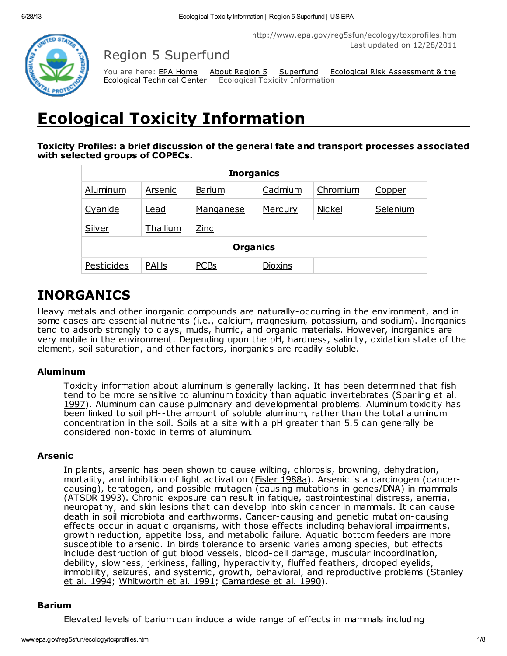http://www.epa.gov/reg5sfun/ecology/toxprofiles.htm Last updated on 12/28/2011



Region 5 Superfund

**Ecological Technical Center** Ecological Toxicity Information

You are here: **EPA [Home](http://www.epa.gov/)** About [Region](http://www.epa.gov/aboutepa/region5.html) 5 [Superfund](http://www.epa.gov/reg5sfun/index.html) Ecological Risk [Assessment](http://www.epa.gov/reg5sfun/ecology/index.html) & the

# Ecological Toxicity Information

Toxicity Profiles: a brief discussion of the general fate and transport processes associated with selected groups of COPECs.

| <b>Inorganics</b> |             |             |         |               |          |
|-------------------|-------------|-------------|---------|---------------|----------|
| Aluminum          | Arsenic     | Barium      | Cadmium | Chromium      | Copper   |
| Cyanide           | <u>Lead</u> | Manganese   | Mercury | <b>Nickel</b> | Selenium |
| Silver            | Thallium    | <b>Zinc</b> |         |               |          |
| <b>Organics</b>   |             |             |         |               |          |
| Pesticides        | <b>PAHs</b> | <b>PCBs</b> | Dioxins |               |          |

# INORGANICS

Heavy metals and other inorganic compounds are naturally-occurring in the environment, and in some cases are essential nutrients (i.e., calcium, magnesium, potassium, and sodium). Inorganics tend to adsorb strongly to clays, muds, humic, and organic materials. However, inorganics are very mobile in the environment. Depending upon the pH, hardness, salinity, oxidation state of the element, soil saturation, and other factors, inorganics are readily soluble.

# Aluminum

Toxicity information about aluminum is generally lacking. It has been determined that fish tend to be more sensitive to aluminum toxicity than aquatic invertebrates (Sparling et al. 1997). Aluminum can cause pulmonary and [developmental](http://www.epa.gov/reg5sfun/ecology/references.htm#sparling) problems. Aluminum toxicity has been linked to soil pH--the amount of soluble aluminum, rather than the total aluminum concentration in the soil. Soils at a site with a pH greater than 5.5 can generally be considered non-toxic in terms of aluminum.

# Arsenic

In plants, arsenic has been shown to cause wilting, chlorosis, browning, dehydration, mortality, and inhibition of light activation (*Eisler 1988a*). Arsenic is a carcinogen (cancercausing), teratogen, and possible mutagen (causing mutations in genes/DNA) in mammals ([ATSDR](http://www.epa.gov/reg5sfun/ecology/references.htm#atsdr93b) 1993). Chronic exposure can result in fatigue, gastrointestinal distress, anemia, neuropathy, and skin lesions that can develop into skin cancer in mammals. It can cause death in soil microbiota and earthworms. Cancer-causing and genetic mutation-causing effects occur in aquatic organisms, with those effects including behavioral impairments, growth reduction, appetite loss, and metabolic failure. Aquatic bottom feeders are more susceptible to arsenic. In birds tolerance to arsenic varies among species, but effects include destruction of gut blood vessels, blood-cell damage, muscular incoordination, debility, slowness, jerkiness, falling, hyperactivity, fluffed feathers, drooped eyelids, immobility, seizures, and systemic, growth, behavioral, and [reproductive](http://www.epa.gov/reg5sfun/ecology/references.htm#stanley) problems (Stanley et al. 1994; [Whitworth](http://www.epa.gov/reg5sfun/ecology/references.htm#whitworth) et al. 1991; [Camardese](http://www.epa.gov/reg5sfun/ecology/references.htm#camardese) et al. 1990).

# Barium

Elevated levels of barium can induce a wide range of effects in mammals including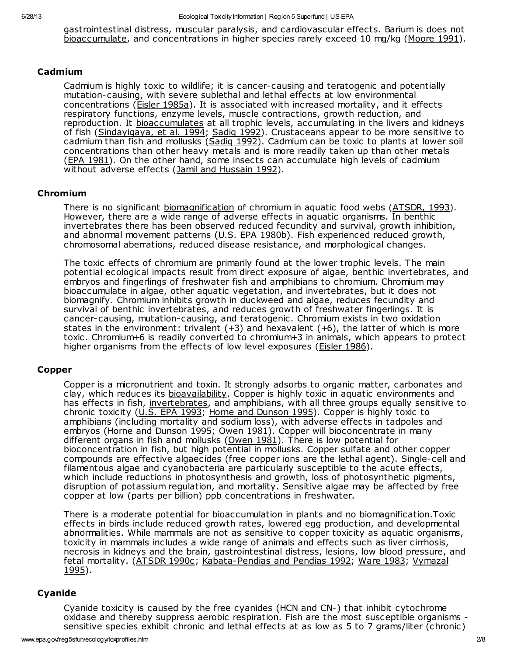gastrointestinal distress, muscular paralysis, and cardiovascular effects. Barium is does not [bioaccumulate](http://www.epa.gov/reg5sfun/ecology/glossary.html#bioaccumulation), and concentrations in higher species rarely exceed 10 mg/kg ([Moore](http://www.epa.gov/reg5sfun/ecology/references.htm#moore) 1991).

#### Cadmium

Cadmium is highly toxic to wildlife; it is cancer-causing and teratogenic and potentially mutation-causing, with severe sublethal and lethal effects at low environmental concentrations (*Eisler [1985a](http://www.epa.gov/reg5sfun/ecology/references.htm#eisler85a)*). It is associated with increased mortality, and it effects respiratory functions, enzyme levels, muscle contractions, growth reduction, and reproduction. It [bioaccumulates](http://www.epa.gov/reg5sfun/ecology/glossary.html#toxtest) at all trophic levels, accumulating in the livers and kidneys of fish ([Sindayigaya,](http://www.epa.gov/reg5sfun/ecology/references.htm#sinday) et al. 1994; Sadig 1992). Crustaceans appear to be more sensitive to cadmium than fish and mollusks [\(Sadiq](http://www.epa.gov/reg5sfun/ecology/references.htm#sadiq) 1992). Cadmium can be toxic to plants at lower soil concentrations than other heavy metals and is more readily taken up than other metals (EPA [1981\)](http://www.epa.gov/reg5sfun/ecology/references.htm#epa81). On the other hand, some insects can accumulate high levels of cadmium without adverse effects (Jamil and [Hussain](http://www.epa.gov/reg5sfun/ecology/references.htm#jamil) 1992).

#### Chromium

There is no significant [biomagnification](http://www.epa.gov/reg5sfun/ecology/glossary.html#bioaccumulation) of chromium in aquatic food webs [\(ATSDR,](http://www.epa.gov/reg5sfun/ecology/references.htm#atsdr93d) 1993). However, there are a wide range of adverse effects in aquatic organisms. In benthic invertebrates there has been observed reduced fecundity and survival, growth inhibition, and abnormal movement patterns (U.S. EPA 1980b). Fish experienced reduced growth, chromosomal aberrations, reduced disease resistance, and morphological changes.

The toxic effects of chromium are primarily found at the lower trophic levels. The main potential ecological impacts result from direct exposure of algae, benthic invertebrates, and embryos and fingerlings of freshwater fish and amphibians to chromium. Chromium may bioaccumulate in algae, other aquatic vegetation, and [invertebrates,](http://www.epa.gov/reg5sfun/ecology/glossary.html) but it does not biomagnify. Chromium inhibits growth in duckweed and algae, reduces fecundity and survival of benthic invertebrates, and reduces growth of freshwater fingerlings. It is cancer-causing, mutation-causing, and teratogenic. Chromium exists in two oxidation states in the environment: trivalent  $(+3)$  and hexavalent  $(+6)$ , the latter of which is more toxic. Chromium+6 is readily converted to chromium+3 in animals, which appears to protect higher organisms from the effects of low level exposures [\(Eisler](http://www.epa.gov/reg5sfun/ecology/references.htm#eisler86b) 1986).

#### Copper

Copper is a micronutrient and toxin. It strongly adsorbs to organic matter, carbonates and clay, which reduces its [bioavailability](http://www.epa.gov/reg5sfun/ecology/glossary.html#bioavail). Copper is highly toxic in aquatic environments and has effects in fish, *invertebrates*, and amphibians, with all three groups equally sensitive to chronic toxicity (U.S. EPA [1993;](http://www.epa.gov/reg5sfun/ecology/references.htm#U.S. EPA93) Horne and [Dunson](http://www.epa.gov/reg5sfun/ecology/references.htm#horne) 1995). Copper is highly toxic to amphibians (including mortality and sodium loss), with adverse effects in tadpoles and embryos (Horne and [Dunson](http://www.epa.gov/reg5sfun/ecology/references.htm#horne) 1995; [Owen](http://www.epa.gov/reg5sfun/ecology/references.htm#owen) 1981). Copper will [bioconcentrate](http://www.epa.gov/reg5sfun/ecology/glossary.html#bioaccumulation) in many different organs in fish and mollusks ([Owen](http://www.epa.gov/reg5sfun/ecology/references.htm#owen) 1981). There is low potential for bioconcentration in fish, but high potential in mollusks. Copper sulfate and other copper compounds are effective algaecides (free copper ions are the lethal agent). Single-cell and filamentous algae and cyanobacteria are particularly susceptible to the acute effects, which include reductions in photosynthesis and growth, loss of photosynthetic pigments, disruption of potassium regulation, and mortality. Sensitive algae may be affected by free copper at low (parts per billion) ppb concentrations in freshwater.

There is a moderate potential for bioaccumulation in plants and no biomagnification.Toxic effects in birds include reduced growth rates, lowered egg production, and developmental abnormalities. While mammals are not as sensitive to copper toxicity as aquatic organisms, toxicity in mammals includes a wide range of animals and effects such as liver cirrhosis, necrosis in kidneys and the brain, gastrointestinal distress, lesions, low blood pressure, and fetal mortality. [\(ATSDR](http://www.epa.gov/reg5sfun/ecology/references.htm#atsdr90c) 1990c; [Kabata-Pendias](http://www.epa.gov/reg5sfun/ecology/references.htm#kabata) and Pendias 1992; [Ware](http://www.epa.gov/reg5sfun/ecology/references.htm#ware) 1983; Vymazal 1995).

#### Cyanide

Cyanide toxicity is caused by the free cyanides (HCN and CN-) that inhibit cytochrome oxidase and thereby suppress aerobic respiration. Fish are the most susceptible organisms sensitive species exhibit chronic and lethal effects at as low as 5 to 7 grams/liter (chronic)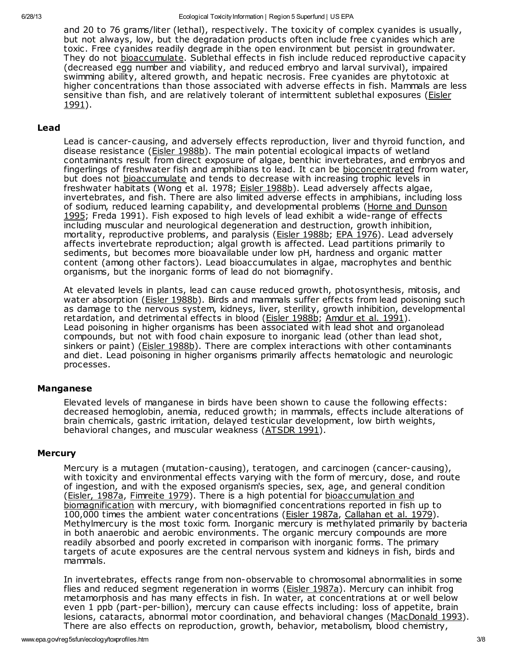and 20 to 76 grams/liter (lethal), respectively. The toxicity of complex cyanides is usually, but not always, low, but the degradation products often include free cyanides which are toxic. Free cyanides readily degrade in the open environment but persist in groundwater. They do not [bioaccumulate](http://www.epa.gov/reg5sfun/ecology/glossary.html#bioaccumulation). Sublethal effects in fish include reduced reproductive capacity (decreased egg number and viability, and reduced embryo and larval survival), impaired swimming ability, altered growth, and hepatic necrosis. Free cyanides are phytotoxic at higher concentrations than those associated with adverse effects in fish. Mammals are less sensitive than fish, and are relatively tolerant of [intermittent](http://www.epa.gov/reg5sfun/ecology/references.htm#eisler91) sublethal exposures (Eisler 1991).

#### Lead

Lead is cancer-causing, and adversely effects reproduction, liver and thyroid function, and disease resistance (Eisler [1988b\)](http://www.epa.gov/reg5sfun/ecology/references.htm#eisler88b). The main potential ecological impacts of wetland contaminants result from direct exposure of algae, benthic invertebrates, and embryos and fingerlings of freshwater fish and amphibians to lead. It can be [bioconcentrated](http://www.epa.gov/reg5sfun/ecology/glossary.html#bioaccumulation) from water, but does not [bioaccumulate](http://www.epa.gov/reg5sfun/ecology/glossary.html#bioaccumulation) and tends to decrease with increasing trophic levels in freshwater habitats (Wong et al. 1978; Eisler [1988b](http://www.epa.gov/reg5sfun/ecology/references.htm#eisler88b)). Lead adversely affects algae, invertebrates, and fish. There are also limited adverse effects in amphibians, including loss of sodium, reduced learning capability, and [developmental](http://www.epa.gov/reg5sfun/ecology/references.htm#horne) problems (Horne and Dunson 1995; Freda 1991). Fish exposed to high levels of lead exhibit a wide-range of effects including muscular and neurological degeneration and destruction, growth inhibition, mortality, reproductive problems, and paralysis (*Eisler [1988b](http://www.epa.gov/reg5sfun/ecology/references.htm#eisler88b)*; *EPA 1976*). Lead adversely affects invertebrate reproduction; algal growth is affected. Lead partitions primarily to sediments, but becomes more bioavailable under low pH, hardness and organic matter content (among other factors). Lead bioaccumulates in algae, macrophytes and benthic organisms, but the inorganic forms of lead do not biomagnify.

At elevated levels in plants, lead can cause reduced growth, photosynthesis, mitosis, and water absorption (Eisler [1988b\)](http://www.epa.gov/reg5sfun/ecology/references.htm#eisler88b). Birds and mammals suffer effects from lead poisoning such as damage to the nervous system, kidneys, liver, sterility, growth inhibition, developmental retardation, and detrimental effects in blood (**Eisler 1988b**; [Amdur](http://www.epa.gov/reg5sfun/ecology/references.htm#amdur) et al. 1991). Lead poisoning in higher organisms has been associated with lead shot and organolead compounds, but not with food chain exposure to inorganic lead (other than lead shot, sinkers or paint) (*Eisler 1988b*). There are complex interactions with other contaminants and diet. Lead poisoning in higher organisms primarily affects hematologic and neurologic processes.

#### Manganese

Elevated levels of manganese in birds have been shown to cause the following effects: decreased hemoglobin, anemia, reduced growth; in mammals, effects include alterations of brain chemicals, gastric irritation, delayed testicular development, low birth weights, behavioral changes, and muscular weakness ([ATSDR](http://www.epa.gov/reg5sfun/ecology/references.htm#atsdr91) 1991).

#### **Mercury**

Mercury is a mutagen (mutation-causing), teratogen, and carcinogen (cancer-causing), with toxicity and environmental effects varying with the form of mercury, dose, and route of ingestion, and with the exposed organism's species, sex, age, and general condition (Eisler, [1987a](http://www.epa.gov/reg5sfun/ecology/references.htm#eisler87a), [Fimreite](http://www.epa.gov/reg5sfun/ecology/references.htm#fimreite) 1979). There is a high potential for [bioaccumulation](http://www.epa.gov/reg5sfun/ecology/glossary.html#bioaccumulation) and biomagnification with mercury, with biomagnified concentrations reported in fish up to 100,000 times the ambient water concentrations (Eisler [1987a,](http://www.epa.gov/reg5sfun/ecology/references.htm#eisler87a) [Callahan](http://www.epa.gov/reg5sfun/ecology/references.htm#callahan) et al. 1979). Methylmercury is the most toxic form. Inorganic mercury is methylated primarily by bacteria in both anaerobic and aerobic environments. The organic mercury compounds are more readily absorbed and poorly excreted in comparison with inorganic forms. The primary targets of acute exposures are the central nervous system and kidneys in fish, birds and mammals.

In invertebrates, effects range from non-observable to chromosomal abnormalities in some flies and reduced segment regeneration in worms (Eisler [1987a](http://www.epa.gov/reg5sfun/ecology/references.htm#eisler87a)). Mercury can inhibit frog metamorphosis and has many effects in fish. In water, at concentrations at or well below even 1 ppb (part-per-billion), mercury can cause effects including: loss of appetite, brain lesions, cataracts, abnormal motor coordination, and behavioral changes ([MacDonald](http://www.epa.gov/reg5sfun/ecology/references.htm#macdonald) 1993). There are also effects on reproduction, growth, behavior, metabolism, blood chemistry,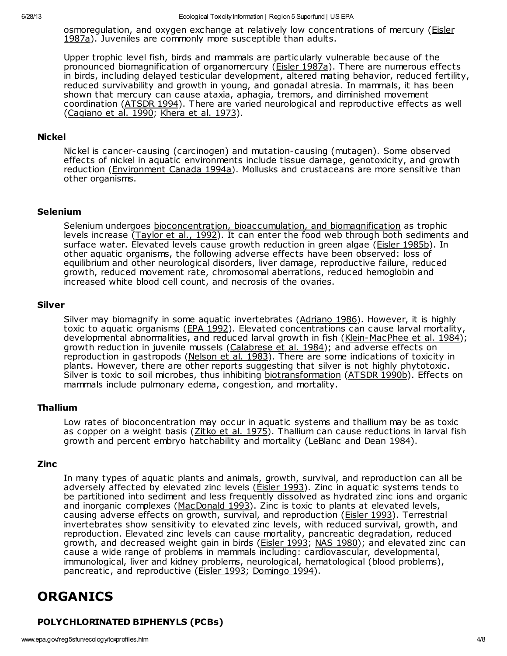[osmoregulation,](http://www.epa.gov/reg5sfun/ecology/references.htm#eisler87a) and oxygen exchange at relatively low concentrations of mercury (*Eisler* 1987a). Juveniles are commonly more susceptible than adults.

Upper trophic level fish, birds and mammals are particularly vulnerable because of the pronounced biomagnification of organomercury (*Eisler 1987a*). There are numerous effects in birds, including delayed testicular development, altered mating behavior, reduced fertility, reduced survivability and growth in young, and gonadal atresia. In mammals, it has been shown that mercury can cause ataxia, aphagia, tremors, and diminished movement coordination ([ATSDR](http://www.epa.gov/reg5sfun/ecology/references.htm#atsdr94) 1994). There are varied neurological and reproductive effects as well ([Cagiano](http://www.epa.gov/reg5sfun/ecology/references.htm#cagiano) et al. 1990; [Khera](http://www.epa.gov/reg5sfun/ecology/references.htm#khera) et al. 1973).

#### Nickel

Nickel is cancer-causing (carcinogen) and mutation-causing (mutagen). Some observed effects of nickel in aquatic environments include tissue damage, genotoxicity, and growth reduction ([Environment](http://www.epa.gov/reg5sfun/ecology/references.htm#encan) Canada 1994a). Mollusks and crustaceans are more sensitive than other organisms.

#### Selenium

Selenium undergoes [bioconcentration,](http://www.epa.gov/reg5sfun/ecology/glossary.html#bioaccumulation) bioaccumulation, and biomagnification as trophic levels increase ([Taylor](http://www.epa.gov/reg5sfun/ecology/references.htm#taylor) et al., 1992). It can enter the food web through both sediments and surface water. Elevated levels cause growth reduction in green algae (Eisler [1985b](http://www.epa.gov/reg5sfun/ecology/references.htm#eisler85b)). In other aquatic organisms, the following adverse effects have been observed: loss of equilibrium and other neurological disorders, liver damage, reproductive failure, reduced growth, reduced movement rate, chromosomal aberrations, reduced hemoglobin and increased white blood cell count, and necrosis of the ovaries.

#### Silver

Silver may biomagnify in some aquatic invertebrates [\(Adriano](http://www.epa.gov/reg5sfun/ecology/references.htm#adriano) 1986). However, it is highly toxic to aquatic organisms (EPA [1992\)](http://www.epa.gov/reg5sfun/ecology/references.htm#epa92). Elevated concentrations can cause larval mortality, developmental abnormalities, and reduced larval growth in fish ([Klein-MacPhee](http://www.epa.gov/reg5sfun/ecology/references.htm#klein) et al. 1984); growth reduction in juvenile mussels [\(Calabrese](http://www.epa.gov/reg5sfun/ecology/references.htm#calabrese) et al. 1984); and adverse effects on reproduction in gastropods ([Nelson](http://www.epa.gov/reg5sfun/ecology/references.htm#nelson) et al. 1983). There are some indications of toxicity in plants. However, there are other reports suggesting that silver is not highly phytotoxic. Silver is toxic to soil microbes, thus inhibiting [biotransformation](http://www.epa.gov/reg5sfun/ecology/erasteps/erastep3.html#biotrans) ([ATSDR](http://www.epa.gov/reg5sfun/ecology/references.htm#atsdr90b) 1990b). Effects on mammals include pulmonary edema, congestion, and mortality.

#### Thallium

Low rates of bioconcentration may occur in aquatic systems and thallium may be as toxic as copper on a weight basis ([Zitko](http://www.epa.gov/reg5sfun/ecology/references.htm#zitko) et al. 1975). Thallium can cause reductions in larval fish growth and percent embryo hatchability and mortality ([LeBlanc](http://www.epa.gov/reg5sfun/ecology/references.htm#leblanc) and Dean 1984).

#### Zinc

In many types of aquatic plants and animals, growth, survival, and reproduction can all be adversely affected by elevated zinc levels [\(Eisler](http://www.epa.gov/reg5sfun/ecology/references.htm#eisler93) 1993). Zinc in aquatic systems tends to be partitioned into sediment and less frequently dissolved as hydrated zinc ions and organic and inorganic complexes ([MacDonald](http://www.epa.gov/reg5sfun/ecology/references.htm#macdonald) 1993). Zinc is toxic to plants at elevated levels, causing adverse effects on growth, survival, and reproduction ([Eisler](http://www.epa.gov/reg5sfun/ecology/references.htm#eisler93) 1993). Terrestrial invertebrates show sensitivity to elevated zinc levels, with reduced survival, growth, and reproduction. Elevated zinc levels can cause mortality, pancreatic degradation, reduced growth, and decreased weight gain in birds ([Eisler](http://www.epa.gov/reg5sfun/ecology/references.htm#eisler93) 1993; NAS [1980\)](http://www.epa.gov/reg5sfun/ecology/references.htm#nas); and elevated zinc can cause a wide range of problems in mammals including: cardiovascular, developmental, immunological, liver and kidney problems, neurological, hematological (blood problems), pancreatic, and reproductive ([Eisler](http://www.epa.gov/reg5sfun/ecology/references.htm#eisler93) 1993; [Domingo](http://www.epa.gov/reg5sfun/ecology/references.htm#domingo) 1994).

# ORGANICS

# POLYCHLORINATED BIPHENYLS (PCBs)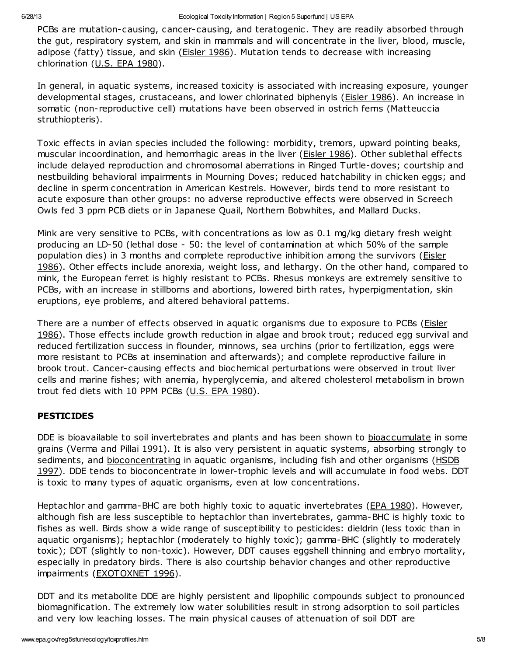PCBs are mutation-causing, cancer-causing, and teratogenic. They are readily absorbed through the gut, respiratory system, and skin in mammals and will concentrate in the liver, blood, muscle, adipose (fatty) tissue, and skin [\(Eisler](http://www.epa.gov/reg5sfun/ecology/references.htm#eisler86) 1986). Mutation tends to decrease with increasing chlorination (U.S. EPA [1980\)](http://www.epa.gov/reg5sfun/ecology/references.htm#epa80).

In general, in aquatic systems, increased toxicity is associated with increasing exposure, younger developmental stages, crustaceans, and lower chlorinated biphenyls ([Eisler](http://www.epa.gov/reg5sfun/ecology/references.htm#eisler86) 1986). An increase in somatic (non-reproductive cell) mutations have been observed in ostrich ferns (Matteuccia struthiopteris).

Toxic effects in avian species included the following: morbidity, tremors, upward pointing beaks, muscular incoordination, and hemorrhagic areas in the liver (**Eisler 1986**). Other sublethal effects include delayed reproduction and chromosomal aberrations in Ringed Turtle-doves; courtship and nestbuilding behavioral impairments in Mourning Doves; reduced hatchability in chicken eggs; and decline in sperm concentration in American Kestrels. However, birds tend to more resistant to acute exposure than other groups: no adverse reproductive effects were observed in Screech Owls fed 3 ppm PCB diets or in Japanese Quail, Northern Bobwhites, and Mallard Ducks.

Mink are very sensitive to PCBs, with concentrations as low as 0.1 mg/kg dietary fresh weight producing an LD-50 (lethal dose - 50: the level of contamination at which 50% of the sample population dies) in 3 months and complete [reproductive](http://www.epa.gov/reg5sfun/ecology/references.htm#eisler86) inhibition among the survivors (*Eisler* 1986). Other effects include anorexia, weight loss, and lethargy. On the other hand, compared to mink, the European ferret is highly resistant to PCBs. Rhesus monkeys are extremely sensitive to PCBs, with an increase in stillborns and abortions, lowered birth rates, hyperpigmentation, skin eruptions, eye problems, and altered behavioral patterns.

There are a number of effects observed in aquatic [organisms](http://www.epa.gov/reg5sfun/ecology/references.htm#eisler86) due to exposure to PCBs (Eisler 1986). Those effects include growth reduction in algae and brook trout; reduced egg survival and reduced fertilization success in flounder, minnows, sea urchins (prior to fertilization, eggs were more resistant to PCBs at insemination and afterwards); and complete reproductive failure in brook trout. Cancer-causing effects and biochemical perturbations were observed in trout liver cells and marine fishes; with anemia, hyperglycemia, and altered cholesterol metabolism in brown trout fed diets with 10 PPM PCBs (U.S. EPA [1980](http://www.epa.gov/reg5sfun/ecology/references.htm#epa80)).

#### PESTICIDES

DDE is bioavailable to soil invertebrates and plants and has been shown to [bioaccumulate](http://www.epa.gov/reg5sfun/ecology/glossary.html#bioaccumulation) in some grains (Verma and Pillai 1991). It is also very persistent in aquatic systems, absorbing strongly to sediments, and [bioconcentratin](http://www.epa.gov/reg5sfun/ecology/glossary.html#bioaccumulation)[g](http://www.epa.gov/reg5sfun/ecology/references.htm#hsdb) in aquatic organisms, including fish and other organisms (HSDB 1997). DDE tends to bioconcentrate in lower-trophic levels and will accumulate in food webs. DDT is toxic to many types of aquatic organisms, even at low concentrations.

Heptachlor and gamma-BHC are both highly toxic to aquatic invertebrates (EPA [1980\)](http://www.epa.gov/reg5sfun/ecology/references.htm#epa80). However, although fish are less susceptible to heptachlor than invertebrates, gamma-BHC is highly toxic to fishes as well. Birds show a wide range of susceptibility to pesticides: dieldrin (less toxic than in aquatic organisms); heptachlor (moderately to highly toxic); gamma-BHC (slightly to moderately toxic); DDT (slightly to non-toxic). However, DDT causes eggshell thinning and embryo mortality, especially in predatory birds. There is also courtship behavior changes and other reproductive impairments [\(EXOTOXNET](http://www.epa.gov/reg5sfun/ecology/references.htm#extoxnet) 1996).

DDT and its metabolite DDE are highly persistent and lipophilic compounds subject to pronounced biomagnification. The extremely low water solubilities result in strong adsorption to soil particles and very low leaching losses. The main physical causes of attenuation of soil DDT are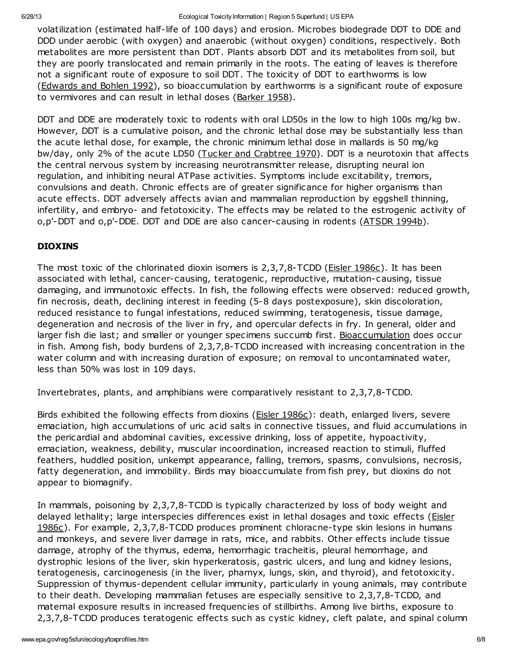volatilization (estimated half-life of 100 days) and erosion. Microbes biodegrade DDT to DDE and DDD under aerobic (with oxygen) and anaerobic (without oxygen) conditions, respectively. Both metabolites are more persistent than DDT. Plants absorb DDT and its metabolites from soil, but they are poorly translocated and remain primarily in the roots. The eating of leaves is therefore not a significant route of exposure to soil DDT. The toxicity of DDT to earthworms is low ([Edwards](http://www.epa.gov/reg5sfun/ecology/references.htm#edwards) and Bohlen 1992), so bioaccumulation by earthworms is a significant route of exposure to vermivores and can result in lethal doses [\(Barker](http://www.epa.gov/reg5sfun/ecology/references.htm#barker) 1958).

DDT and DDE are moderately toxic to rodents with oral LD50s in the low to high 100s mg/kg bw. However, DDT is a cumulative poison, and the chronic lethal dose may be substantially less than the acute lethal dose, for example, the chronic minimum lethal dose in mallards is 50 mg/kg bw/day, only 2% of the acute LD50 (Tucker and [Crabtree](http://www.epa.gov/reg5sfun/ecology/references.htm#tucker) 1970). DDT is a neurotoxin that affects the central nervous system by increasing neurotransmitter release, disrupting neural ion regulation, and inhibiting neural ATPase activities. Symptoms include excitability, tremors, convulsions and death. Chronic effects are of greater significance for higher organisms than acute effects. DDT adversely affects avian and mammalian reproduction by eggshell thinning, infertility, and embryo- and fetotoxicity. The effects may be related to the estrogenic activity of  $o,p'$ -DDT and  $o,p'$ -DDE. DDT and DDE are also cancer-causing in rodents  $(ATSDR 1994b)$  $(ATSDR 1994b)$  $(ATSDR 1994b)$ .

# DIOXINS

The most toxic of the chlorinated dioxin isomers is 2,3,7,8-TCDD (*Eisler 1986c*). It has been associated with lethal, cancer-causing, teratogenic, reproductive, mutation-causing, tissue damaging, and immunotoxic effects. In fish, the following effects were observed: reduced growth, fin necrosis, death, declining interest in feeding (5-8 days postexposure), skin discoloration, reduced resistance to fungal infestations, reduced swimming, teratogenesis, tissue damage, degeneration and necrosis of the liver in fry, and opercular defects in fry. In general, older and larger fish die last; and smaller or younger specimens succumb first. [Bioaccumulation](http://www.epa.gov/reg5sfun/ecology/glossary.html#bioaccumulation) does occur in fish. Among fish, body burdens of 2,3,7,8-TCDD increased with increasing concentration in the water column and with increasing duration of exposure; on removal to uncontaminated water, less than 50% was lost in 109 days.

Invertebrates, plants, and amphibians were comparatively resistant to 2,3,7,8-TCDD.

Birds exhibited the following effects from dioxins (Eisler [1986c\)](http://www.epa.gov/reg5sfun/ecology/references.htm#eisler86c): death, enlarged livers, severe emaciation, high accumulations of uric acid salts in connective tissues, and fluid accumulations in the pericardial and abdominal cavities, excessive drinking, loss of appetite, hypoactivity, emaciation, weakness, debility, muscular incoordination, increased reaction to stimuli, fluffed feathers, huddled position, unkempt appearance, falling, tremors, spasms, convulsions, necrosis, fatty degeneration, and immobility. Birds may bioaccumulate from fish prey, but dioxins do not appear to biomagnify.

In mammals, poisoning by 2,3,7,8-TCDD is typically characterized by loss of body weight and delayed lethality; large interspecies differences exist in lethal dosages and toxic effects (Eisler 1986c). For example, 2,3,7,8-TCDD produces prominent [chloracne-type](http://www.epa.gov/reg5sfun/ecology/references.htm#eisler86c) skin lesions in humans and monkeys, and severe liver damage in rats, mice, and rabbits. Other effects include tissue damage, atrophy of the thymus, edema, hemorrhagic tracheitis, pleural hemorrhage, and dystrophic lesions of the liver, skin hyperkeratosis, gastric ulcers, and lung and kidney lesions, teratogenesis, carcinogenesis (in the liver, pharnyx, lungs, skin, and thyroid), and fetotoxicity. Suppression of thymus-dependent cellular immunity, particularly in young animals, may contribute to their death. Developing mammalian fetuses are especially sensitive to 2,3,7,8-TCDD, and maternal exposure results in increased frequencies of stillbirths. Among live births, exposure to 2,3,7,8-TCDD produces teratogenic effects such as cystic kidney, cleft palate, and spinal column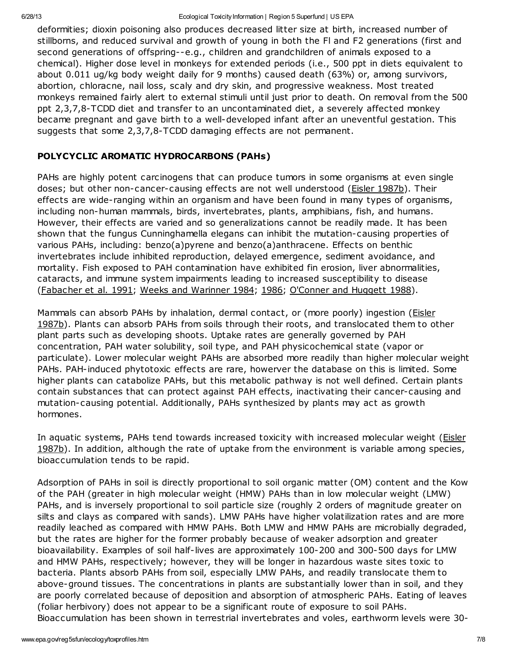deformities; dioxin poisoning also produces decreased litter size at birth, increased number of stillborns, and reduced survival and growth of young in both the Fl and F2 generations (first and second generations of offspring--e.g., children and grandchildren of animals exposed to a chemical). Higher dose level in monkeys for extended periods (i.e., 500 ppt in diets equivalent to about 0.011 ug/kg body weight daily for 9 months) caused death (63%) or, among survivors, abortion, chloracne, nail loss, scaly and dry skin, and progressive weakness. Most treated monkeys remained fairly alert to external stimuli until just prior to death. On removal from the 500 ppt 2,3,7,8-TCDD diet and transfer to an uncontaminated diet, a severely affected monkey became pregnant and gave birth to a well-developed infant after an uneventful gestation. This suggests that some 2,3,7,8-TCDD damaging effects are not permanent.

# POLYCYCLIC AROMATIC HYDROCARBONS (PAHs)

PAHs are highly potent carcinogens that can produce tumors in some organisms at even single doses; but other non-cancer-causing effects are not well understood (Eisler [1987b\)](http://www.epa.gov/reg5sfun/ecology/references.htm#eisler87b). Their effects are wide-ranging within an organism and have been found in many types of organisms, including non-human mammals, birds, invertebrates, plants, amphibians, fish, and humans. However, their effects are varied and so generalizations cannot be readily made. It has been shown that the fungus Cunninghamella elegans can inhibit the mutation-causing properties of various PAHs, including: benzo(a)pyrene and benzo(a)anthracene. Effects on benthic invertebrates include inhibited reproduction, delayed emergence, sediment avoidance, and mortality. Fish exposed to PAH contamination have exhibited fin erosion, liver abnormalities, cataracts, and immune system impairments leading to increased susceptibility to disease ([Fabacher](http://www.epa.gov/reg5sfun/ecology/references.htm#fabacher) et al. 1991; Weeks and [Warinner](http://www.epa.gov/reg5sfun/ecology/references.htm#weeks84) 1984; [1986](http://www.epa.gov/reg5sfun/ecology/references.htm#weeks86); [O'Conner](http://www.epa.gov/reg5sfun/ecology/references.htm#oconner) and Huggett 1988).

Mammals can absorb PAHs by inhalation, dermal contact, or (more poorly) ingestion (*Eisler* 1987b). Plants can absorb PAHs from soils through their roots, and [translocated](http://www.epa.gov/reg5sfun/ecology/references.htm#eisler87b) them to other plant parts such as developing shoots. Uptake rates are generally governed by PAH concentration, PAH water solubility, soil type, and PAH physicochemical state (vapor or particulate). Lower molecular weight PAHs are absorbed more readily than higher molecular weight PAHs. PAH-induced phytotoxic effects are rare, howerver the database on this is limited. Some higher plants can catabolize PAHs, but this metabolic pathway is not well defined. Certain plants contain substances that can protect against PAH effects, inactivating their cancer-causing and mutation-causing potential. Additionally, PAHs synthesized by plants may act as growth hormones.

In aquatic systems, PAHs tend towards increased toxicity with increased molecular weight (Eisler 1987b). In addition, although the rate of uptake from the [environment](http://www.epa.gov/reg5sfun/ecology/references.htm#eisler87b) is variable among species, bioaccumulation tends to be rapid.

Adsorption of PAHs in soil is directly proportional to soil organic matter (OM) content and the Kow of the PAH (greater in high molecular weight (HMW) PAHs than in low molecular weight (LMW) PAHs, and is inversely proportional to soil particle size (roughly 2 orders of magnitude greater on silts and clays as compared with sands). LMW PAHs have higher volatilization rates and are more readily leached as compared with HMW PAHs. Both LMW and HMW PAHs are microbially degraded, but the rates are higher for the former probably because of weaker adsorption and greater bioavailability. Examples of soil half-lives are approximately 100-200 and 300-500 days for LMW and HMW PAHs, respectively; however, they will be longer in hazardous waste sites toxic to bacteria. Plants absorb PAHs from soil, especially LMW PAHs, and readily translocate them to above-ground tissues. The concentrations in plants are substantially lower than in soil, and they are poorly correlated because of deposition and absorption of atmospheric PAHs. Eating of leaves (foliar herbivory) does not appear to be a significant route of exposure to soil PAHs. Bioaccumulation has been shown in terrestrial invertebrates and voles, earthworm levels were 30-